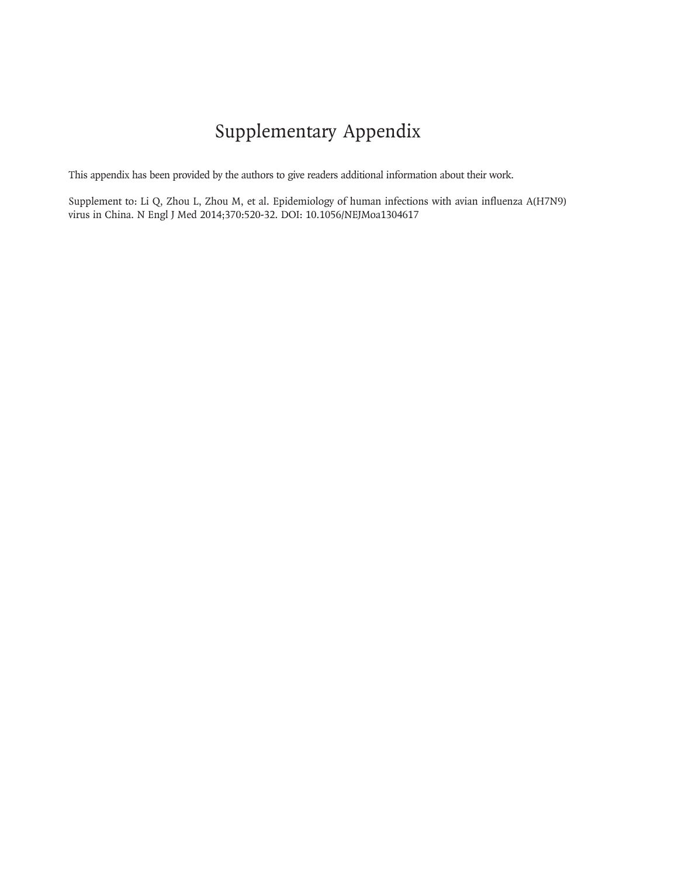# Supplementary Appendix

This appendix has been provided by the authors to give readers additional information about their work.

Supplement to: Li Q, Zhou L, Zhou M, et al. Epidemiology of human infections with avian influenza A(H7N9) virus in China. N Engl J Med 2014;370:520-32. DOI: 10.1056/NEJMoa1304617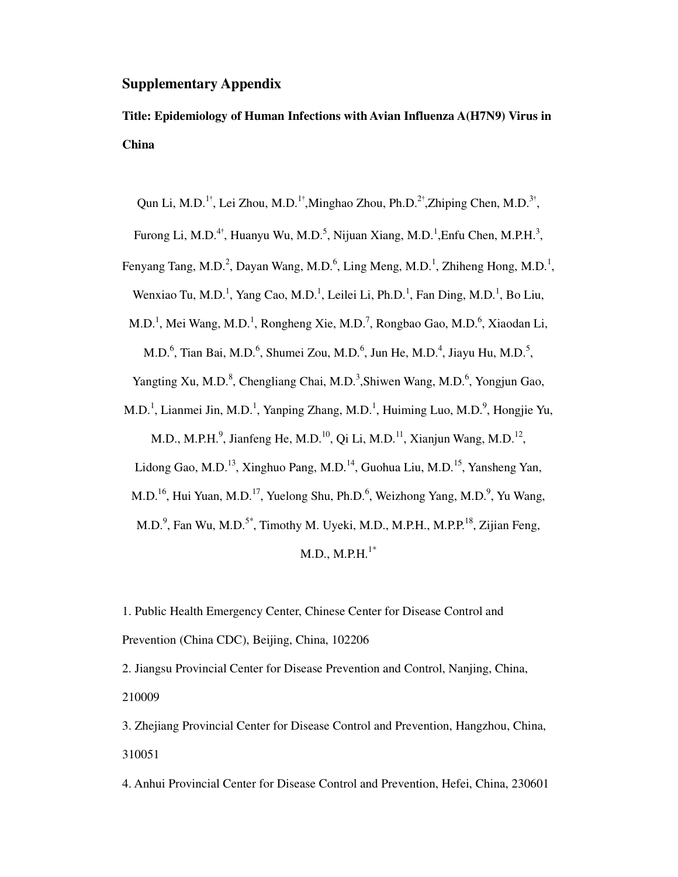#### **Supplementary Appendix**

**Title: Epidemiology of Human Infections with Avian Influenza A(H7N9) Virus in China** 

Qun Li, M.D.<sup>1†</sup>, Lei Zhou, M.D.<sup>1†</sup>, Minghao Zhou, Ph.D.<sup>2†</sup>, Zhiping Chen, M.D.<sup>3†</sup>,

Furong Li, M.D.<sup>4†</sup>, Huanyu Wu, M.D.<sup>5</sup>, Nijuan Xiang, M.D.<sup>1</sup>, Enfu Chen, M.P.H.<sup>3</sup>,

Fenyang Tang, M.D.<sup>2</sup>, Dayan Wang, M.D.<sup>6</sup>, Ling Meng, M.D.<sup>1</sup>, Zhiheng Hong, M.D.<sup>1</sup>, Wenxiao Tu, M.D.<sup>1</sup>, Yang Cao, M.D.<sup>1</sup>, Leilei Li, Ph.D.<sup>1</sup>, Fan Ding, M.D.<sup>1</sup>, Bo Liu,

M.D.<sup>1</sup>, Mei Wang, M.D.<sup>1</sup>, Rongheng Xie, M.D.<sup>7</sup>, Rongbao Gao, M.D.<sup>6</sup>, Xiaodan Li,

M.D.<sup>6</sup>, Tian Bai, M.D.<sup>6</sup>, Shumei Zou, M.D.<sup>6</sup>, Jun He, M.D.<sup>4</sup>, Jiayu Hu, M.D.<sup>5</sup>,

Yangting Xu, M.D.<sup>8</sup>, Chengliang Chai, M.D.<sup>3</sup>, Shiwen Wang, M.D.<sup>6</sup>, Yongjun Gao,

M.D.<sup>1</sup>, Lianmei Jin, M.D.<sup>1</sup>, Yanping Zhang, M.D.<sup>1</sup>, Huiming Luo, M.D.<sup>9</sup>, Hongjie Yu,

M.D., M.P.H.<sup>9</sup>, Jianfeng He, M.D.<sup>10</sup>, Qi Li, M.D.<sup>11</sup>, Xianjun Wang, M.D.<sup>12</sup>,

Lidong Gao, M.D.<sup>13</sup>, Xinghuo Pang, M.D.<sup>14</sup>, Guohua Liu, M.D.<sup>15</sup>, Yansheng Yan,

M.D.<sup>16</sup>, Hui Yuan, M.D.<sup>17</sup>, Yuelong Shu, Ph.D.<sup>6</sup>, Weizhong Yang, M.D.<sup>9</sup>, Yu Wang,

M.D.<sup>9</sup>, Fan Wu, M.D.<sup>5\*</sup>, Timothy M. Uyeki, M.D., M.P.H., M.P.P.<sup>18</sup>, Zijian Feng,

 $M.D., M.P.H.<sup>1*</sup>$ 

1. Public Health Emergency Center, Chinese Center for Disease Control and Prevention (China CDC), Beijing, China, 102206

2. Jiangsu Provincial Center for Disease Prevention and Control, Nanjing, China, 210009

3. Zhejiang Provincial Center for Disease Control and Prevention, Hangzhou, China, 310051

4. Anhui Provincial Center for Disease Control and Prevention, Hefei, China, 230601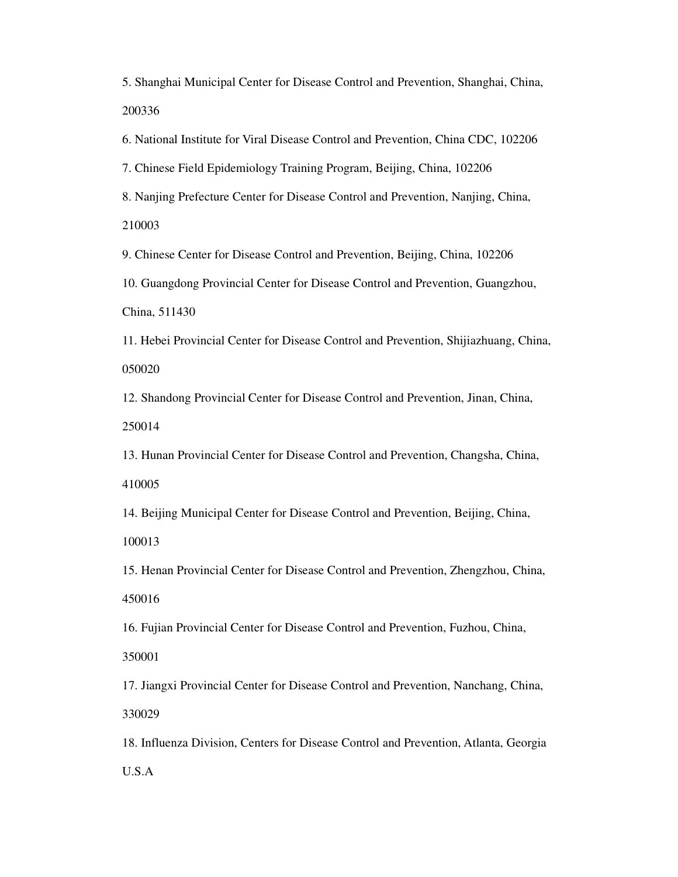5. Shanghai Municipal Center for Disease Control and Prevention, Shanghai, China, 200336

6. National Institute for Viral Disease Control and Prevention, China CDC, 102206

7. Chinese Field Epidemiology Training Program, Beijing, China, 102206

8. Nanjing Prefecture Center for Disease Control and Prevention, Nanjing, China, 210003

9. Chinese Center for Disease Control and Prevention, Beijing, China, 102206

10. Guangdong Provincial Center for Disease Control and Prevention, Guangzhou, China, 511430

11. Hebei Provincial Center for Disease Control and Prevention, Shijiazhuang, China, 050020

12. Shandong Provincial Center for Disease Control and Prevention, Jinan, China, 250014

13. Hunan Provincial Center for Disease Control and Prevention, Changsha, China, 410005

14. Beijing Municipal Center for Disease Control and Prevention, Beijing, China,

100013

15. Henan Provincial Center for Disease Control and Prevention, Zhengzhou, China, 450016

16. Fujian Provincial Center for Disease Control and Prevention, Fuzhou, China,

350001

17. Jiangxi Provincial Center for Disease Control and Prevention, Nanchang, China, 330029

18. Influenza Division, Centers for Disease Control and Prevention, Atlanta, Georgia U.S.A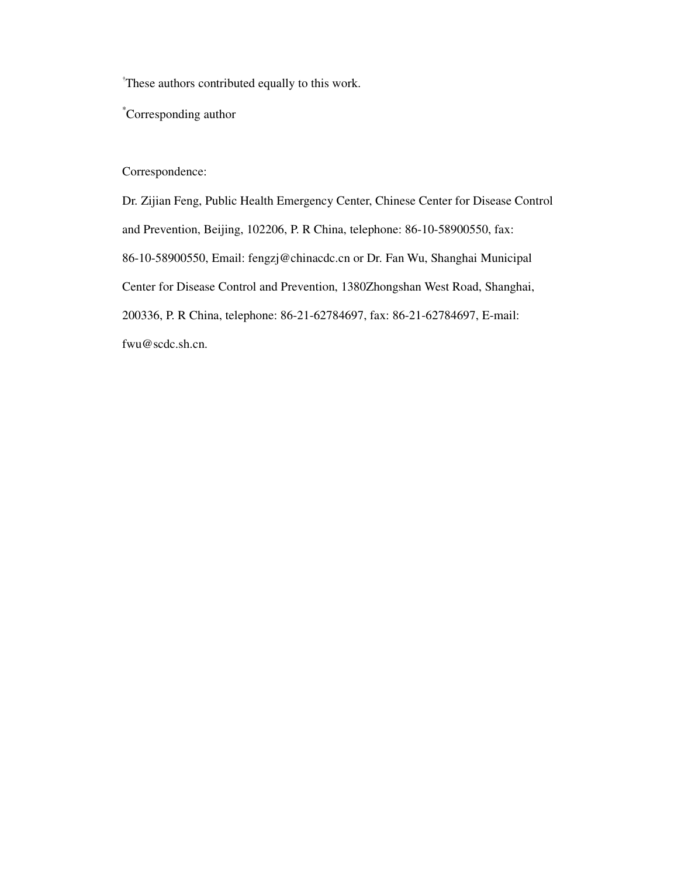† These authors contributed equally to this work.

\*Corresponding author

#### Correspondence:

Dr. Zijian Feng, Public Health Emergency Center, Chinese Center for Disease Control and Prevention, Beijing, 102206, P. R China, telephone: 86-10-58900550, fax: 86-10-58900550, Email: fengzj@chinacdc.cn or Dr. Fan Wu, Shanghai Municipal Center for Disease Control and Prevention, 1380Zhongshan West Road, Shanghai, 200336, P. R China, telephone: 86-21-62784697, fax: 86-21-62784697, E-mail: fwu@scdc.sh.cn.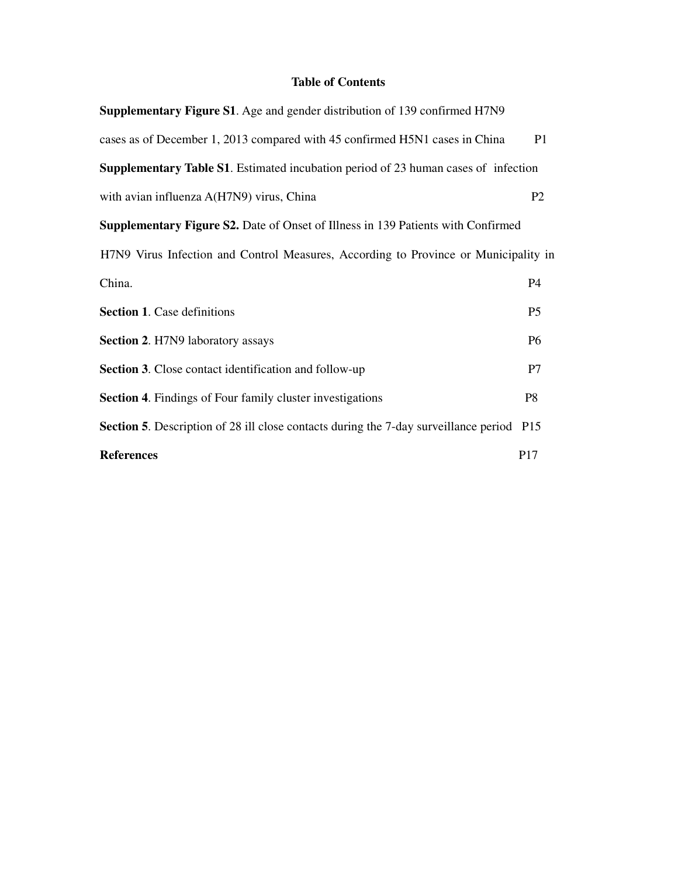### **Table of Contents**

| <b>Supplementary Figure S1.</b> Age and gender distribution of 139 confirmed H7N9               |                |  |  |  |  |  |
|-------------------------------------------------------------------------------------------------|----------------|--|--|--|--|--|
| cases as of December 1, 2013 compared with 45 confirmed H5N1 cases in China                     | P <sub>1</sub> |  |  |  |  |  |
| <b>Supplementary Table S1.</b> Estimated incubation period of 23 human cases of infection       |                |  |  |  |  |  |
| with avian influenza A(H7N9) virus, China                                                       | P <sub>2</sub> |  |  |  |  |  |
| <b>Supplementary Figure S2.</b> Date of Onset of Illness in 139 Patients with Confirmed         |                |  |  |  |  |  |
| H7N9 Virus Infection and Control Measures, According to Province or Municipality in             |                |  |  |  |  |  |
| China.                                                                                          | P4             |  |  |  |  |  |
| <b>Section 1. Case definitions</b>                                                              | P <sub>5</sub> |  |  |  |  |  |
| <b>Section 2. H7N9 laboratory assays</b>                                                        | <b>P6</b>      |  |  |  |  |  |
| <b>Section 3.</b> Close contact identification and follow-up                                    | P7             |  |  |  |  |  |
| <b>Section 4.</b> Findings of Four family cluster investigations                                | P <sub>8</sub> |  |  |  |  |  |
| <b>Section 5.</b> Description of 28 ill close contacts during the 7-day surveillance period P15 |                |  |  |  |  |  |
| <b>References</b>                                                                               | P17            |  |  |  |  |  |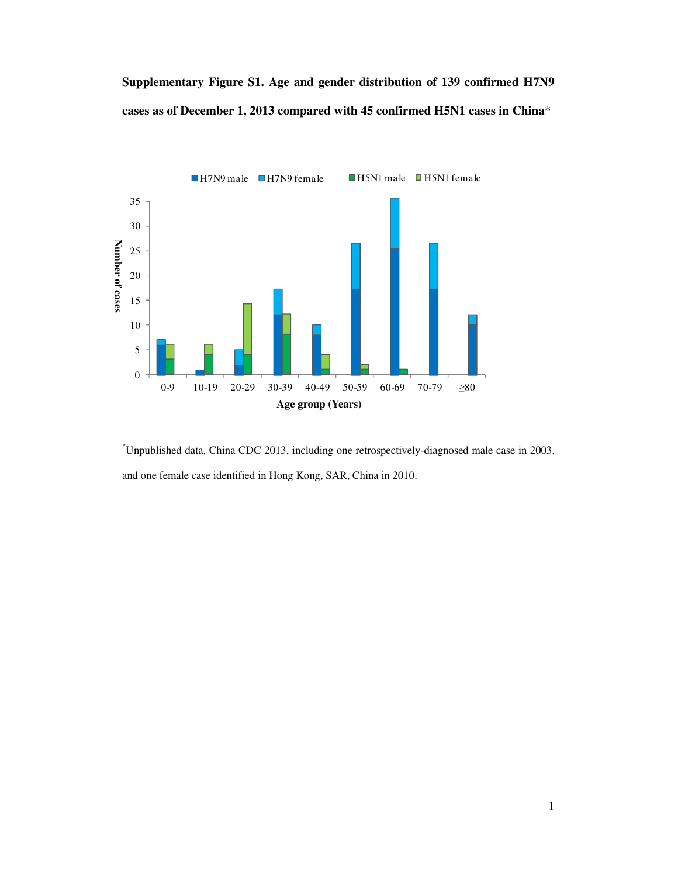## **Supplementary Figure S1. Age and gender distribution of 139 confirmed H7N9 cases as of December 1, 2013 compared with 45 confirmed H5N1 cases in China**\*



\*Unpublished data, China CDC 2013, including one retrospectively-diagnosed male case in 2003, and one female case identified in Hong Kong, SAR, China in 2010.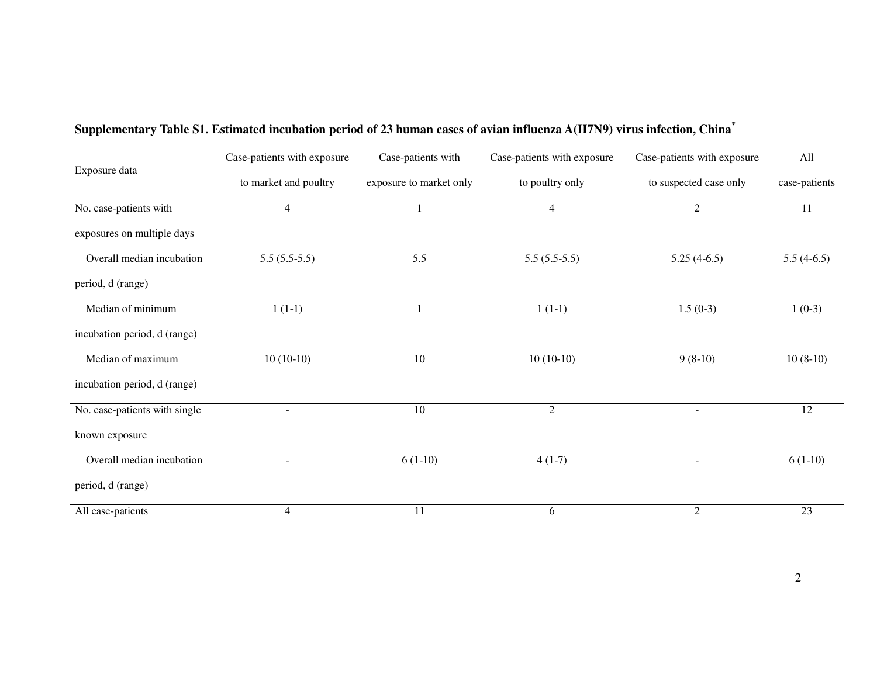| Exposure data                 | Case-patients with exposure | Case-patients with      | Case-patients with exposure | Case-patients with exposure | All             |
|-------------------------------|-----------------------------|-------------------------|-----------------------------|-----------------------------|-----------------|
|                               | to market and poultry       | exposure to market only | to poultry only             | to suspected case only      | case-patients   |
| No. case-patients with        | $\overline{4}$              |                         | $\overline{4}$              | $\mathfrak{2}$              | 11              |
| exposures on multiple days    |                             |                         |                             |                             |                 |
| Overall median incubation     | $5.5(5.5-5.5)$              | 5.5                     | $5.5(5.5-5.5)$              | $5.25(4-6.5)$               | $5.5(4-6.5)$    |
| period, d (range)             |                             |                         |                             |                             |                 |
| Median of minimum             | $1(1-1)$                    | $\mathbf{1}$            | $1(1-1)$                    | $1.5(0-3)$                  | $1(0-3)$        |
| incubation period, d (range)  |                             |                         |                             |                             |                 |
| Median of maximum             | $10(10-10)$                 | 10                      | $10(10-10)$                 | $9(8-10)$                   | $10(8-10)$      |
| incubation period, d (range)  |                             |                         |                             |                             |                 |
| No. case-patients with single | $\blacksquare$              | $\overline{10}$         | $\overline{2}$              | $\overline{\phantom{a}}$    | $\overline{12}$ |
| known exposure                |                             |                         |                             |                             |                 |
| Overall median incubation     |                             | $6(1-10)$               | $4(1-7)$                    |                             | $6(1-10)$       |
| period, d (range)             |                             |                         |                             |                             |                 |
| All case-patients             | $\overline{4}$              | 11                      | 6                           | $\overline{2}$              | 23              |

### **Supplementary Table S1. Estimated incubation period of 23 human cases of avian influenza A(H7N9) virus infection, China\***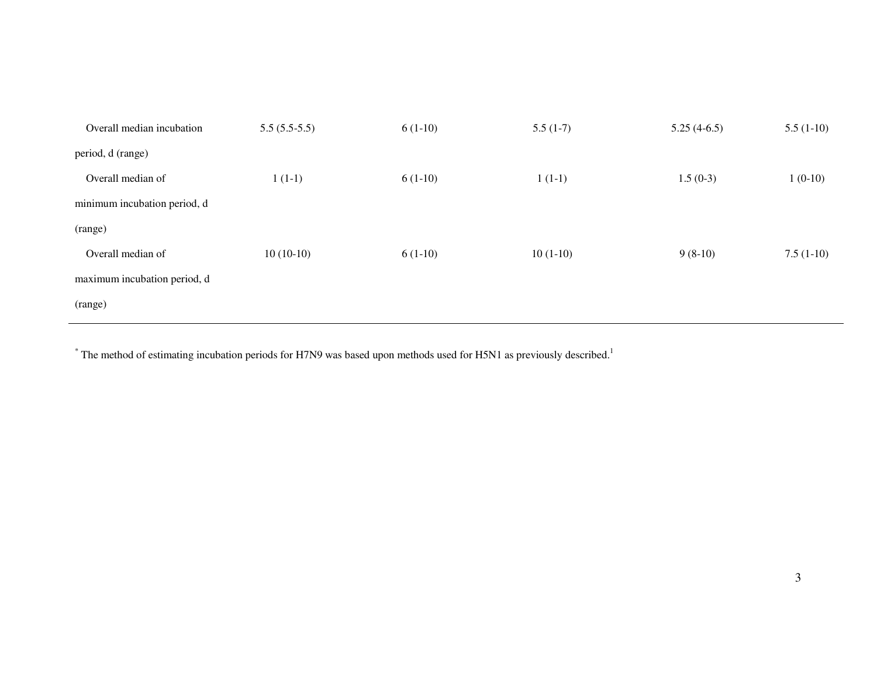| $5.5(5.5-5.5)$ | $6(1-10)$ | $5.5(1-7)$ | $5.25(4-6.5)$ | $5.5(1-10)$ |
|----------------|-----------|------------|---------------|-------------|
|                |           |            |               |             |
| $1(1-1)$       | $6(1-10)$ | $1(1-1)$   | $1.5(0-3)$    | $1(0-10)$   |
|                |           |            |               |             |
|                |           |            |               |             |
| $10(10-10)$    | $6(1-10)$ | $10(1-10)$ | $9(8-10)$     | $7.5(1-10)$ |
|                |           |            |               |             |
|                |           |            |               |             |
|                |           |            |               |             |

 $*$  The method of estimating incubation periods for H7N9 was based upon methods used for H5N1 as previously described.<sup>1</sup>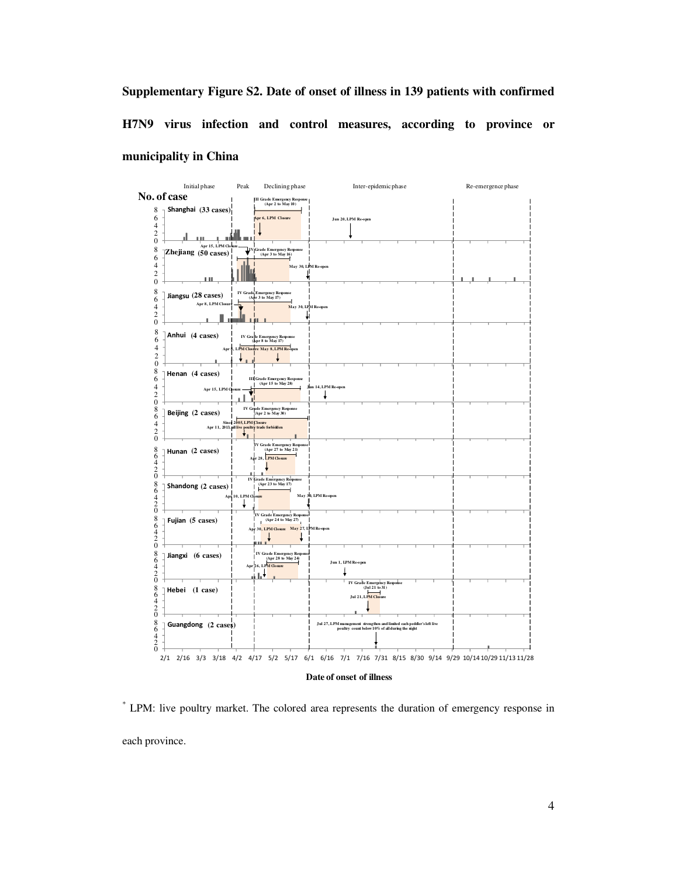**Supplementary Figure S2. Date of onset of illness in 139 patients with confirmed H7N9 virus infection and control measures, according to province or municipality in China** 



**Date of onset of illness** 

\* LPM: live poultry market. The colored area represents the duration of emergency response in each province.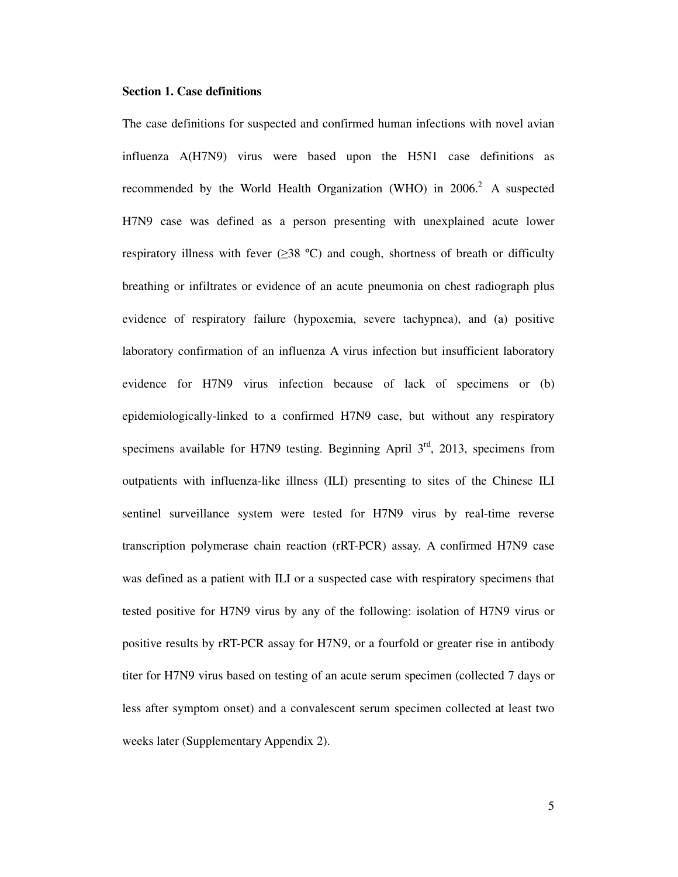#### **Section 1. Case definitions**

The case definitions for suspected and confirmed human infections with novel avian influenza A(H7N9) virus were based upon the H5N1 case definitions as recommended by the World Health Organization (WHO) in  $2006<sup>2</sup>$  A suspected H7N9 case was defined as a person presenting with unexplained acute lower respiratory illness with fever  $(\geq 38 \text{ °C})$  and cough, shortness of breath or difficulty breathing or infiltrates or evidence of an acute pneumonia on chest radiograph plus evidence of respiratory failure (hypoxemia, severe tachypnea), and (a) positive laboratory confirmation of an influenza A virus infection but insufficient laboratory evidence for H7N9 virus infection because of lack of specimens or (b) epidemiologically-linked to a confirmed H7N9 case, but without any respiratory specimens available for H7N9 testing. Beginning April  $3<sup>rd</sup>$ , 2013, specimens from outpatients with influenza-like illness (ILI) presenting to sites of the Chinese ILI sentinel surveillance system were tested for H7N9 virus by real-time reverse transcription polymerase chain reaction (rRT-PCR) assay. A confirmed H7N9 case was defined as a patient with ILI or a suspected case with respiratory specimens that tested positive for H7N9 virus by any of the following: isolation of H7N9 virus or positive results by rRT-PCR assay for H7N9, or a fourfold or greater rise in antibody titer for H7N9 virus based on testing of an acute serum specimen (collected 7 days or less after symptom onset) and a convalescent serum specimen collected at least two weeks later (Supplementary Appendix 2).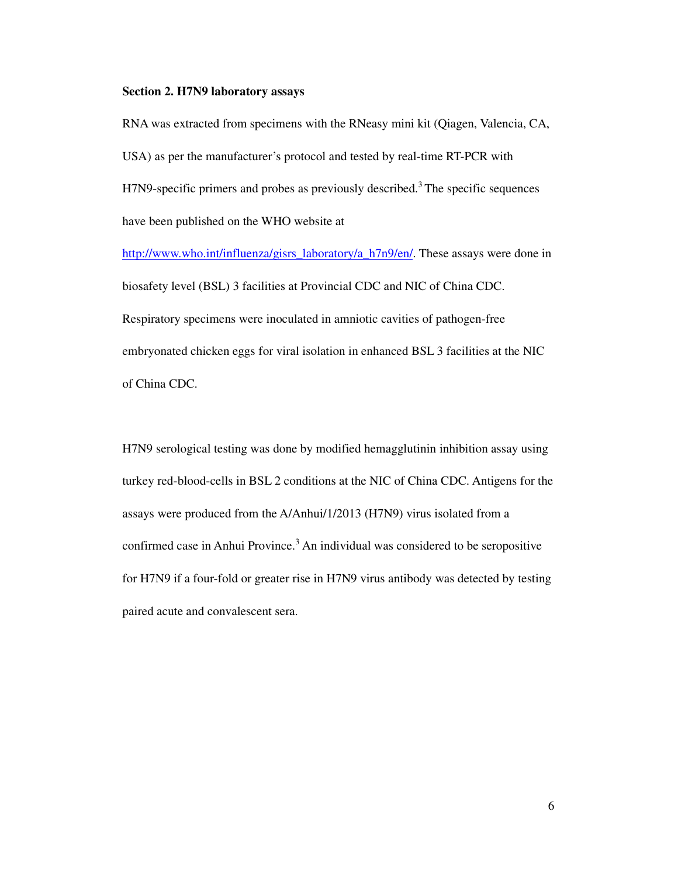#### **Section 2. H7N9 laboratory assays**

RNA was extracted from specimens with the RNeasy mini kit (Qiagen, Valencia, CA, USA) as per the manufacturer's protocol and tested by real-time RT-PCR with H7N9-specific primers and probes as previously described.<sup>3</sup> The specific sequences have been published on the WHO website at

http://www.who.int/influenza/gisrs\_laboratory/a\_h7n9/en/. These assays were done in biosafety level (BSL) 3 facilities at Provincial CDC and NIC of China CDC. Respiratory specimens were inoculated in amniotic cavities of pathogen-free embryonated chicken eggs for viral isolation in enhanced BSL 3 facilities at the NIC of China CDC.

H7N9 serological testing was done by modified hemagglutinin inhibition assay using turkey red-blood-cells in BSL 2 conditions at the NIC of China CDC. Antigens for the assays were produced from the A/Anhui/1/2013 (H7N9) virus isolated from a confirmed case in Anhui Province.<sup>3</sup> An individual was considered to be seropositive for H7N9 if a four-fold or greater rise in H7N9 virus antibody was detected by testing paired acute and convalescent sera.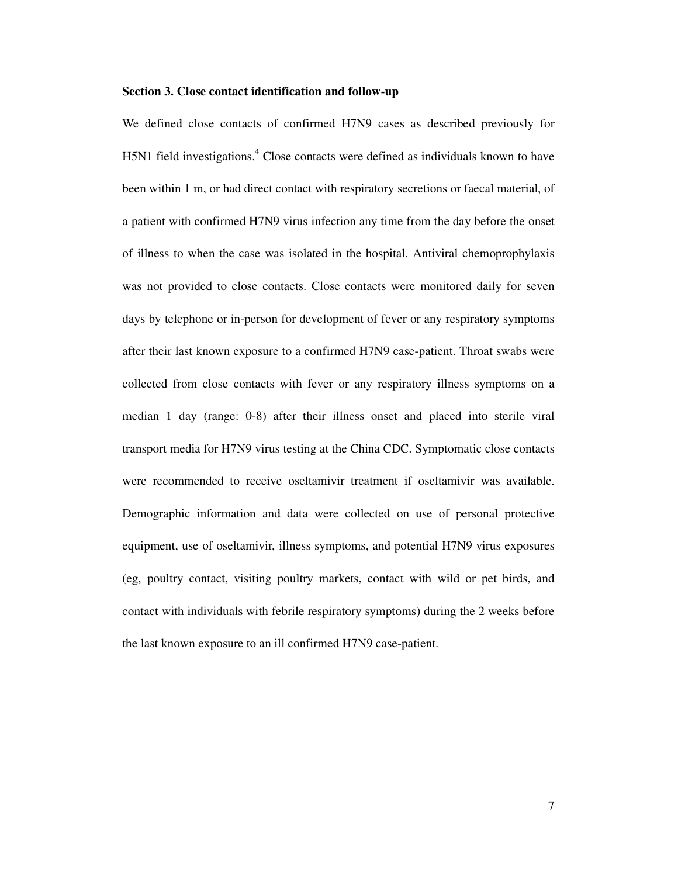#### **Section 3. Close contact identification and follow-up**

We defined close contacts of confirmed H7N9 cases as described previously for H5N1 field investigations.<sup>4</sup> Close contacts were defined as individuals known to have been within 1 m, or had direct contact with respiratory secretions or faecal material, of a patient with confirmed H7N9 virus infection any time from the day before the onset of illness to when the case was isolated in the hospital. Antiviral chemoprophylaxis was not provided to close contacts. Close contacts were monitored daily for seven days by telephone or in-person for development of fever or any respiratory symptoms after their last known exposure to a confirmed H7N9 case-patient. Throat swabs were collected from close contacts with fever or any respiratory illness symptoms on a median 1 day (range: 0-8) after their illness onset and placed into sterile viral transport media for H7N9 virus testing at the China CDC. Symptomatic close contacts were recommended to receive oseltamivir treatment if oseltamivir was available. Demographic information and data were collected on use of personal protective equipment, use of oseltamivir, illness symptoms, and potential H7N9 virus exposures (eg, poultry contact, visiting poultry markets, contact with wild or pet birds, and contact with individuals with febrile respiratory symptoms) during the 2 weeks before the last known exposure to an ill confirmed H7N9 case-patient.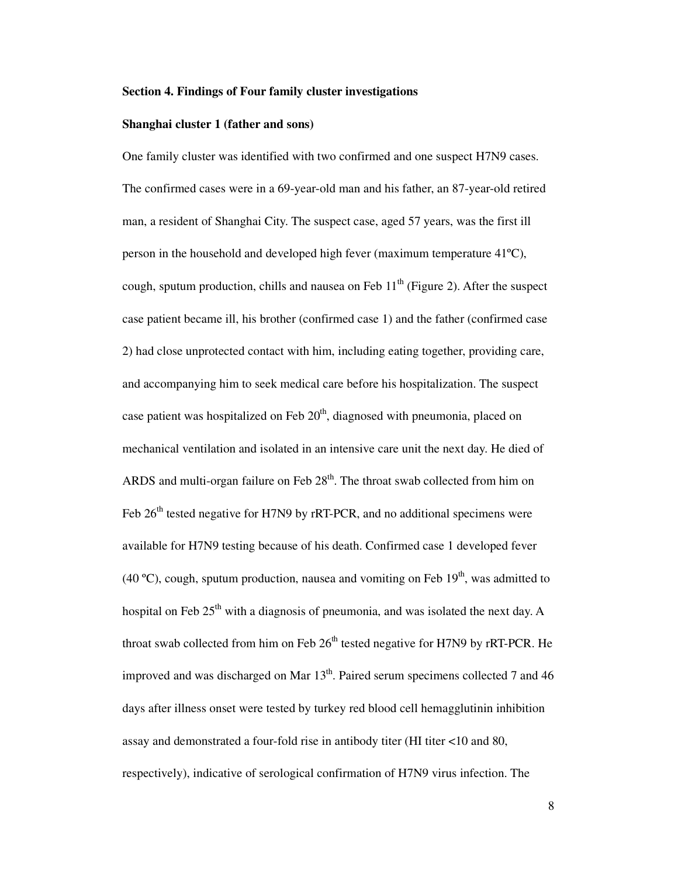#### **Section 4. Findings of Four family cluster investigations**

#### **Shanghai cluster 1 (father and sons)**

One family cluster was identified with two confirmed and one suspect H7N9 cases. The confirmed cases were in a 69-year-old man and his father, an 87-year-old retired man, a resident of Shanghai City. The suspect case, aged 57 years, was the first ill person in the household and developed high fever (maximum temperature 41ºC), cough, sputum production, chills and nausea on Feb  $11<sup>th</sup>$  (Figure 2). After the suspect case patient became ill, his brother (confirmed case 1) and the father (confirmed case 2) had close unprotected contact with him, including eating together, providing care, and accompanying him to seek medical care before his hospitalization. The suspect case patient was hospitalized on Feb  $20<sup>th</sup>$ , diagnosed with pneumonia, placed on mechanical ventilation and isolated in an intensive care unit the next day. He died of ARDS and multi-organ failure on Feb  $28<sup>th</sup>$ . The throat swab collected from him on Feb 26<sup>th</sup> tested negative for H7N9 by rRT-PCR, and no additional specimens were available for H7N9 testing because of his death. Confirmed case 1 developed fever (40 °C), cough, sputum production, nausea and vomiting on Feb  $19<sup>th</sup>$ , was admitted to hospital on Feb  $25<sup>th</sup>$  with a diagnosis of pneumonia, and was isolated the next day. A throat swab collected from him on Feb  $26<sup>th</sup>$  tested negative for H7N9 by rRT-PCR. He improved and was discharged on Mar  $13<sup>th</sup>$ . Paired serum specimens collected 7 and 46 days after illness onset were tested by turkey red blood cell hemagglutinin inhibition assay and demonstrated a four-fold rise in antibody titer (HI titer <10 and 80, respectively), indicative of serological confirmation of H7N9 virus infection. The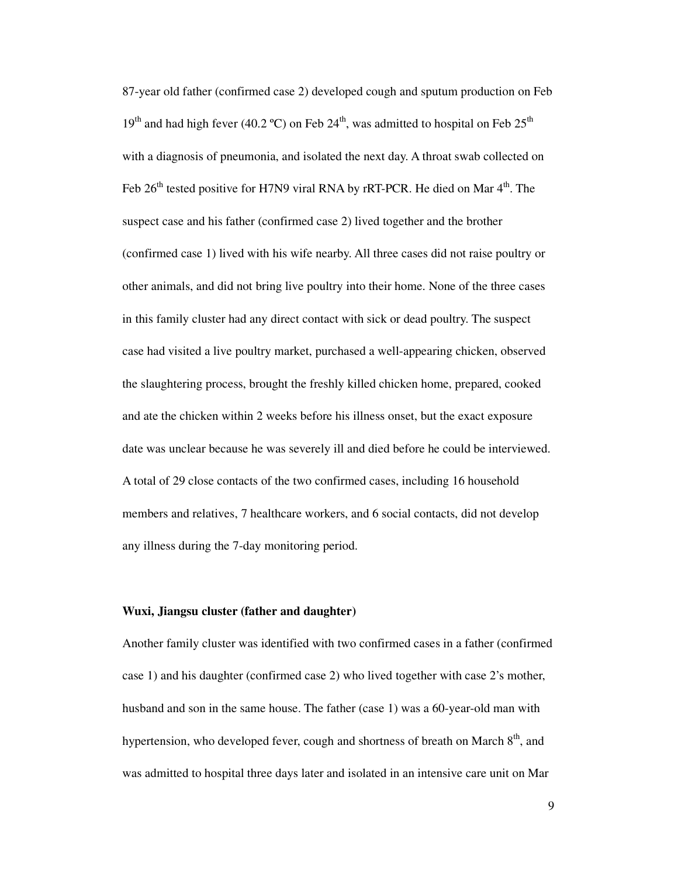87-year old father (confirmed case 2) developed cough and sputum production on Feb 19<sup>th</sup> and had high fever (40.2 °C) on Feb 24<sup>th</sup>, was admitted to hospital on Feb 25<sup>th</sup> with a diagnosis of pneumonia, and isolated the next day. A throat swab collected on Feb  $26<sup>th</sup>$  tested positive for H7N9 viral RNA by rRT-PCR. He died on Mar  $4<sup>th</sup>$ . The suspect case and his father (confirmed case 2) lived together and the brother (confirmed case 1) lived with his wife nearby. All three cases did not raise poultry or other animals, and did not bring live poultry into their home. None of the three cases in this family cluster had any direct contact with sick or dead poultry. The suspect case had visited a live poultry market, purchased a well-appearing chicken, observed the slaughtering process, brought the freshly killed chicken home, prepared, cooked and ate the chicken within 2 weeks before his illness onset, but the exact exposure date was unclear because he was severely ill and died before he could be interviewed. A total of 29 close contacts of the two confirmed cases, including 16 household members and relatives, 7 healthcare workers, and 6 social contacts, did not develop any illness during the 7-day monitoring period.

#### **Wuxi, Jiangsu cluster (father and daughter)**

Another family cluster was identified with two confirmed cases in a father (confirmed case 1) and his daughter (confirmed case 2) who lived together with case 2's mother, husband and son in the same house. The father (case 1) was a 60-year-old man with hypertension, who developed fever, cough and shortness of breath on March  $8<sup>th</sup>$ , and was admitted to hospital three days later and isolated in an intensive care unit on Mar

9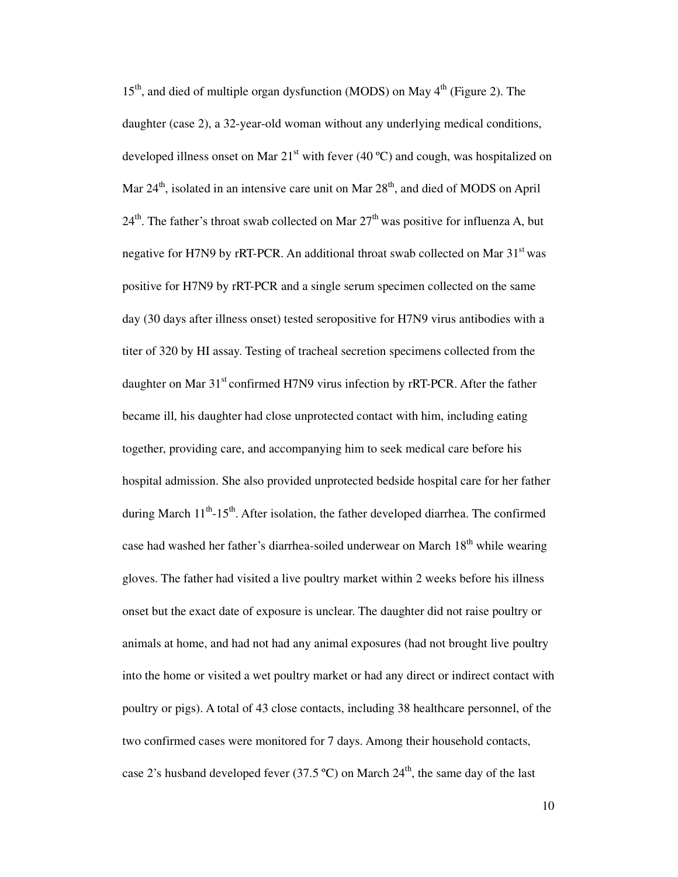$15<sup>th</sup>$ , and died of multiple organ dysfunction (MODS) on May  $4<sup>th</sup>$  (Figure 2). The daughter (case 2), a 32-year-old woman without any underlying medical conditions, developed illness onset on Mar  $21^{st}$  with fever (40 °C) and cough, was hospitalized on Mar  $24<sup>th</sup>$ , isolated in an intensive care unit on Mar  $28<sup>th</sup>$ , and died of MODS on April  $24<sup>th</sup>$ . The father's throat swab collected on Mar  $27<sup>th</sup>$  was positive for influenza A, but negative for H7N9 by rRT-PCR. An additional throat swab collected on Mar  $31<sup>st</sup>$  was positive for H7N9 by rRT-PCR and a single serum specimen collected on the same day (30 days after illness onset) tested seropositive for H7N9 virus antibodies with a titer of 320 by HI assay. Testing of tracheal secretion specimens collected from the daughter on Mar  $31<sup>st</sup>$  confirmed H7N9 virus infection by rRT-PCR. After the father became ill, his daughter had close unprotected contact with him, including eating together, providing care, and accompanying him to seek medical care before his hospital admission. She also provided unprotected bedside hospital care for her father during March 11<sup>th</sup>-15<sup>th</sup>. After isolation, the father developed diarrhea. The confirmed case had washed her father's diarrhea-soiled underwear on March  $18<sup>th</sup>$  while wearing gloves. The father had visited a live poultry market within 2 weeks before his illness onset but the exact date of exposure is unclear. The daughter did not raise poultry or animals at home, and had not had any animal exposures (had not brought live poultry into the home or visited a wet poultry market or had any direct or indirect contact with poultry or pigs). A total of 43 close contacts, including 38 healthcare personnel, of the two confirmed cases were monitored for 7 days. Among their household contacts, case 2's husband developed fever (37.5 °C) on March  $24<sup>th</sup>$ , the same day of the last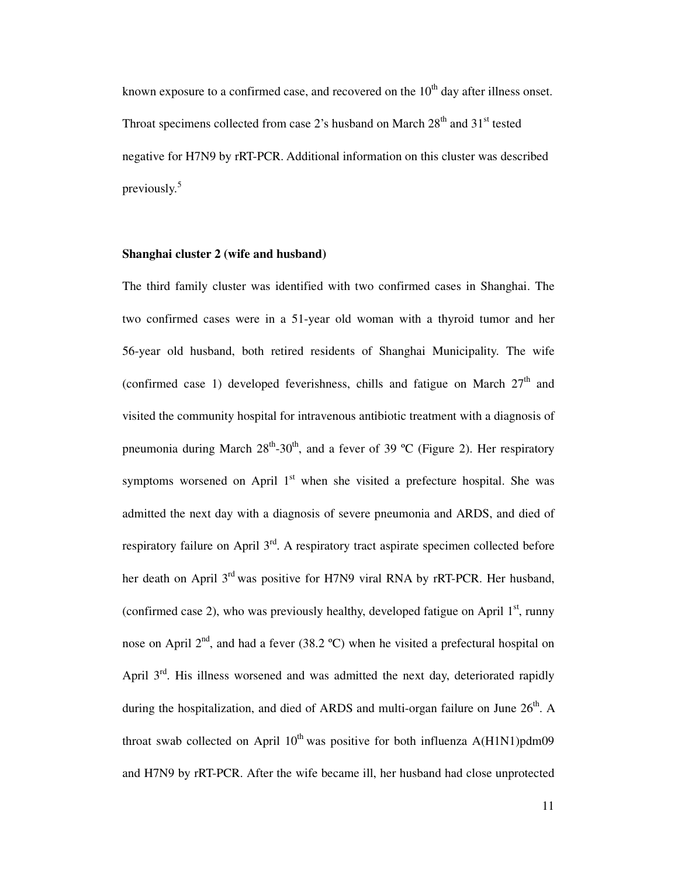known exposure to a confirmed case, and recovered on the  $10<sup>th</sup>$  day after illness onset. Throat specimens collected from case 2's husband on March  $28<sup>th</sup>$  and  $31<sup>st</sup>$  tested negative for H7N9 by rRT-PCR. Additional information on this cluster was described previously.<sup>5</sup>

#### **Shanghai cluster 2 (wife and husband)**

The third family cluster was identified with two confirmed cases in Shanghai. The two confirmed cases were in a 51-year old woman with a thyroid tumor and her 56-year old husband, both retired residents of Shanghai Municipality. The wife (confirmed case 1) developed feverishness, chills and fatigue on March  $27<sup>th</sup>$  and visited the community hospital for intravenous antibiotic treatment with a diagnosis of pneumonia during March  $28<sup>th</sup>-30<sup>th</sup>$ , and a fever of 39 °C (Figure 2). Her respiratory symptoms worsened on April  $1<sup>st</sup>$  when she visited a prefecture hospital. She was admitted the next day with a diagnosis of severe pneumonia and ARDS, and died of respiratory failure on April  $3<sup>rd</sup>$ . A respiratory tract aspirate specimen collected before her death on April 3<sup>rd</sup> was positive for H7N9 viral RNA by rRT-PCR. Her husband, (confirmed case 2), who was previously healthy, developed fatigue on April  $1<sup>st</sup>$ , runny nose on April  $2<sup>nd</sup>$ , and had a fever (38.2 °C) when he visited a prefectural hospital on April  $3<sup>rd</sup>$ . His illness worsened and was admitted the next day, deteriorated rapidly during the hospitalization, and died of ARDS and multi-organ failure on June  $26<sup>th</sup>$ . A throat swab collected on April  $10^{th}$  was positive for both influenza A(H1N1)pdm09 and H7N9 by rRT-PCR. After the wife became ill, her husband had close unprotected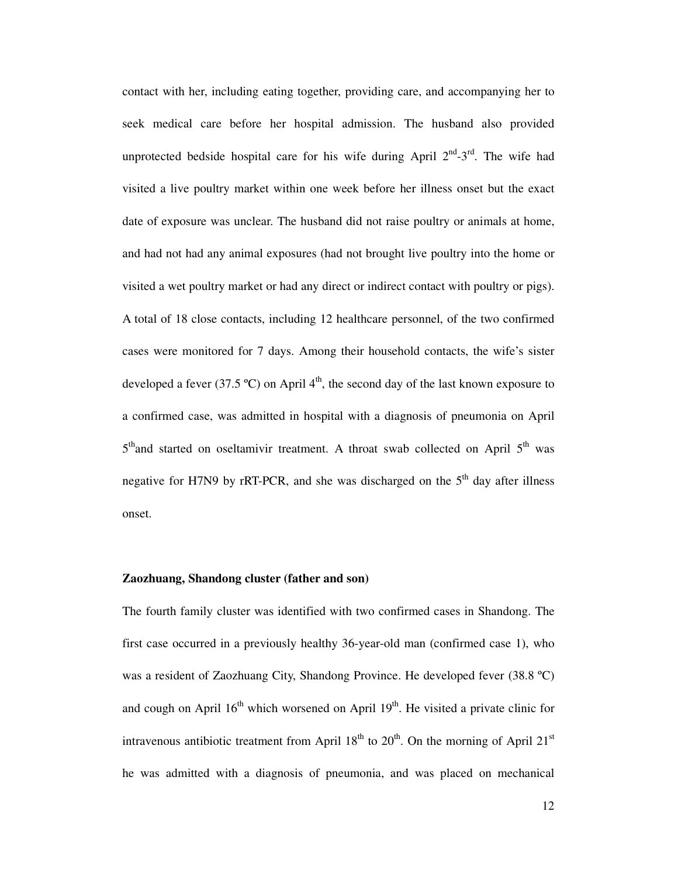contact with her, including eating together, providing care, and accompanying her to seek medical care before her hospital admission. The husband also provided unprotected bedside hospital care for his wife during April  $2<sup>nd</sup> - 3<sup>rd</sup>$ . The wife had visited a live poultry market within one week before her illness onset but the exact date of exposure was unclear. The husband did not raise poultry or animals at home, and had not had any animal exposures (had not brought live poultry into the home or visited a wet poultry market or had any direct or indirect contact with poultry or pigs). A total of 18 close contacts, including 12 healthcare personnel, of the two confirmed cases were monitored for 7 days. Among their household contacts, the wife's sister developed a fever (37.5 °C) on April  $4<sup>th</sup>$ , the second day of the last known exposure to a confirmed case, was admitted in hospital with a diagnosis of pneumonia on April 5<sup>th</sup>and started on oseltamivir treatment. A throat swab collected on April 5<sup>th</sup> was negative for H7N9 by rRT-PCR, and she was discharged on the  $5<sup>th</sup>$  day after illness onset.

#### **Zaozhuang, Shandong cluster (father and son)**

The fourth family cluster was identified with two confirmed cases in Shandong. The first case occurred in a previously healthy 36-year-old man (confirmed case 1), who was a resident of Zaozhuang City, Shandong Province. He developed fever (38.8 ºC) and cough on April  $16<sup>th</sup>$  which worsened on April  $19<sup>th</sup>$ . He visited a private clinic for intravenous antibiotic treatment from April  $18<sup>th</sup>$  to  $20<sup>th</sup>$ . On the morning of April  $21<sup>st</sup>$ he was admitted with a diagnosis of pneumonia, and was placed on mechanical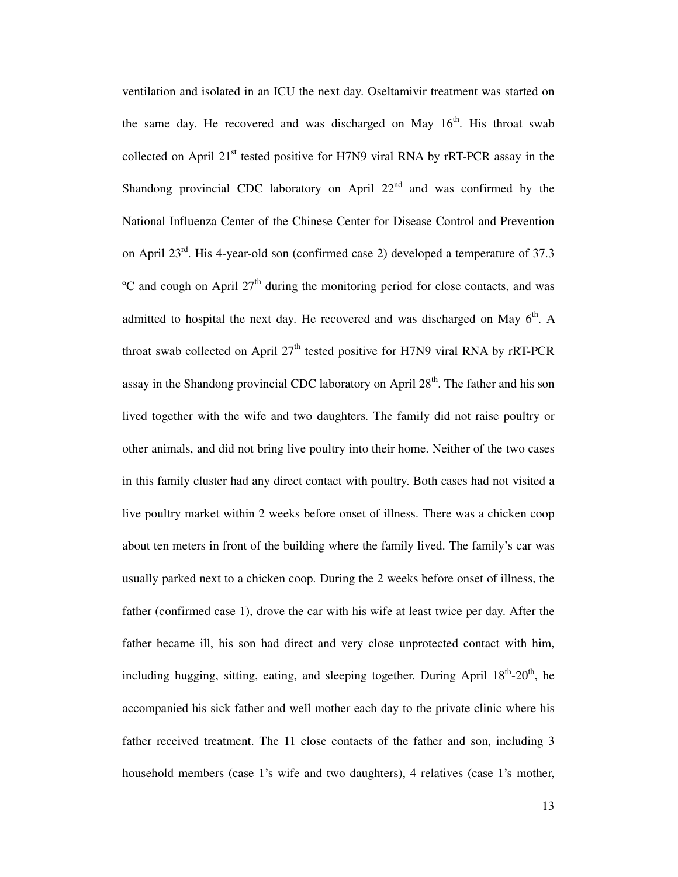ventilation and isolated in an ICU the next day. Oseltamivir treatment was started on the same day. He recovered and was discharged on May  $16<sup>th</sup>$ . His throat swab collected on April  $21<sup>st</sup>$  tested positive for H7N9 viral RNA by rRT-PCR assay in the Shandong provincial CDC laboratory on April  $22<sup>nd</sup>$  and was confirmed by the National Influenza Center of the Chinese Center for Disease Control and Prevention on April 23rd. His 4-year-old son (confirmed case 2) developed a temperature of 37.3  $\rm{^{\circ}C}$  and cough on April 27<sup>th</sup> during the monitoring period for close contacts, and was admitted to hospital the next day. He recovered and was discharged on May  $6<sup>th</sup>$ . A throat swab collected on April  $27<sup>th</sup>$  tested positive for H7N9 viral RNA by rRT-PCR assay in the Shandong provincial CDC laboratory on April  $28<sup>th</sup>$ . The father and his son lived together with the wife and two daughters. The family did not raise poultry or other animals, and did not bring live poultry into their home. Neither of the two cases in this family cluster had any direct contact with poultry. Both cases had not visited a live poultry market within 2 weeks before onset of illness. There was a chicken coop about ten meters in front of the building where the family lived. The family's car was usually parked next to a chicken coop. During the 2 weeks before onset of illness, the father (confirmed case 1), drove the car with his wife at least twice per day. After the father became ill, his son had direct and very close unprotected contact with him, including hugging, sitting, eating, and sleeping together. During April  $18^{th}$ - $20^{th}$ , he accompanied his sick father and well mother each day to the private clinic where his father received treatment. The 11 close contacts of the father and son, including 3 household members (case 1's wife and two daughters), 4 relatives (case 1's mother,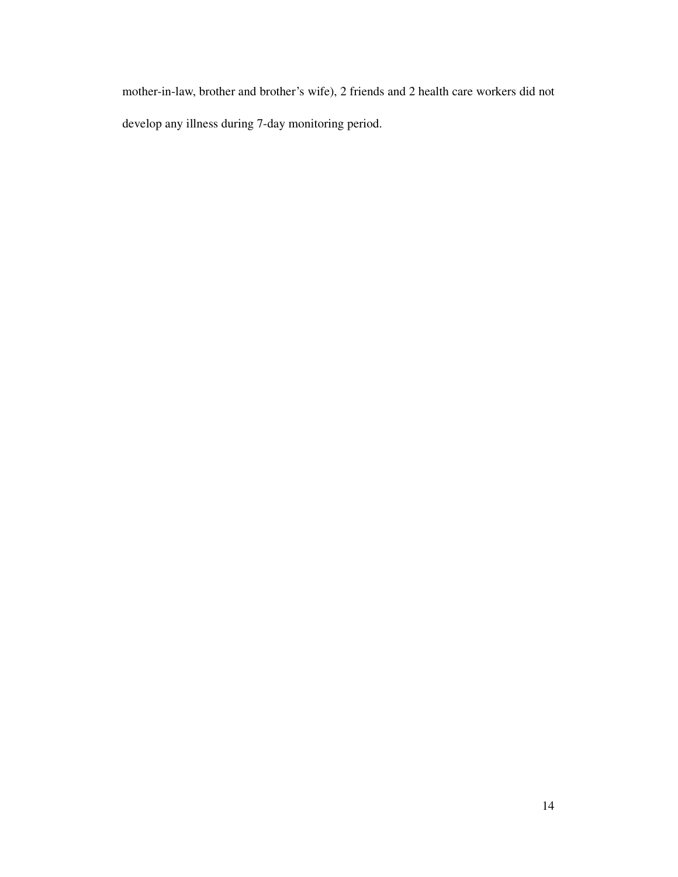mother-in-law, brother and brother's wife), 2 friends and 2 health care workers did not develop any illness during 7-day monitoring period.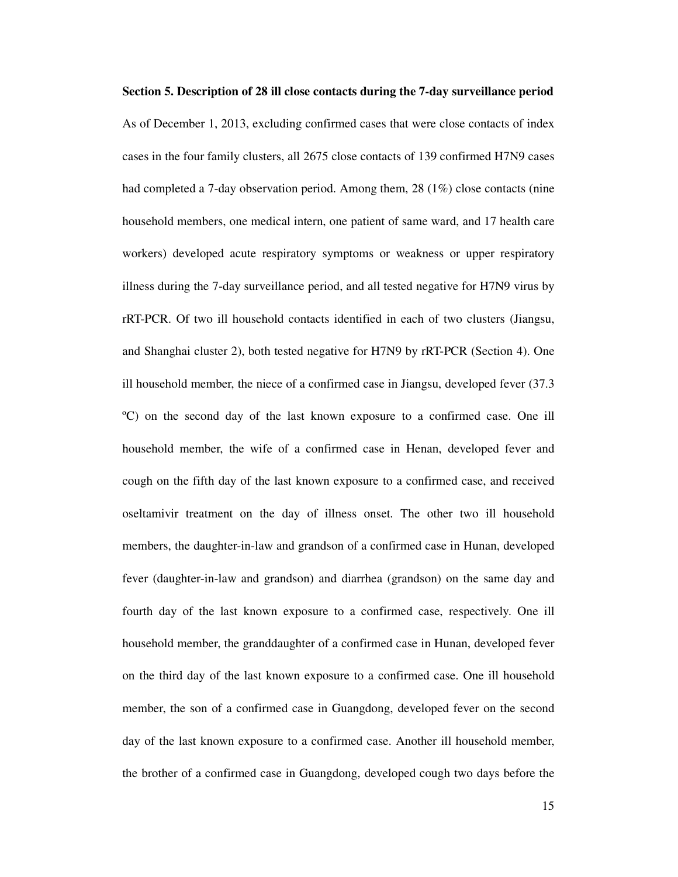**Section 5. Description of 28 ill close contacts during the 7-day surveillance period**  As of December 1, 2013, excluding confirmed cases that were close contacts of index cases in the four family clusters, all 2675 close contacts of 139 confirmed H7N9 cases had completed a 7-day observation period. Among them, 28 (1%) close contacts (nine household members, one medical intern, one patient of same ward, and 17 health care workers) developed acute respiratory symptoms or weakness or upper respiratory illness during the 7-day surveillance period, and all tested negative for H7N9 virus by rRT-PCR. Of two ill household contacts identified in each of two clusters (Jiangsu, and Shanghai cluster 2), both tested negative for H7N9 by rRT-PCR (Section 4). One ill household member, the niece of a confirmed case in Jiangsu, developed fever (37.3 ºC) on the second day of the last known exposure to a confirmed case. One ill household member, the wife of a confirmed case in Henan, developed fever and cough on the fifth day of the last known exposure to a confirmed case, and received oseltamivir treatment on the day of illness onset. The other two ill household members, the daughter-in-law and grandson of a confirmed case in Hunan, developed fever (daughter-in-law and grandson) and diarrhea (grandson) on the same day and fourth day of the last known exposure to a confirmed case, respectively. One ill household member, the granddaughter of a confirmed case in Hunan, developed fever on the third day of the last known exposure to a confirmed case. One ill household member, the son of a confirmed case in Guangdong, developed fever on the second day of the last known exposure to a confirmed case. Another ill household member, the brother of a confirmed case in Guangdong, developed cough two days before the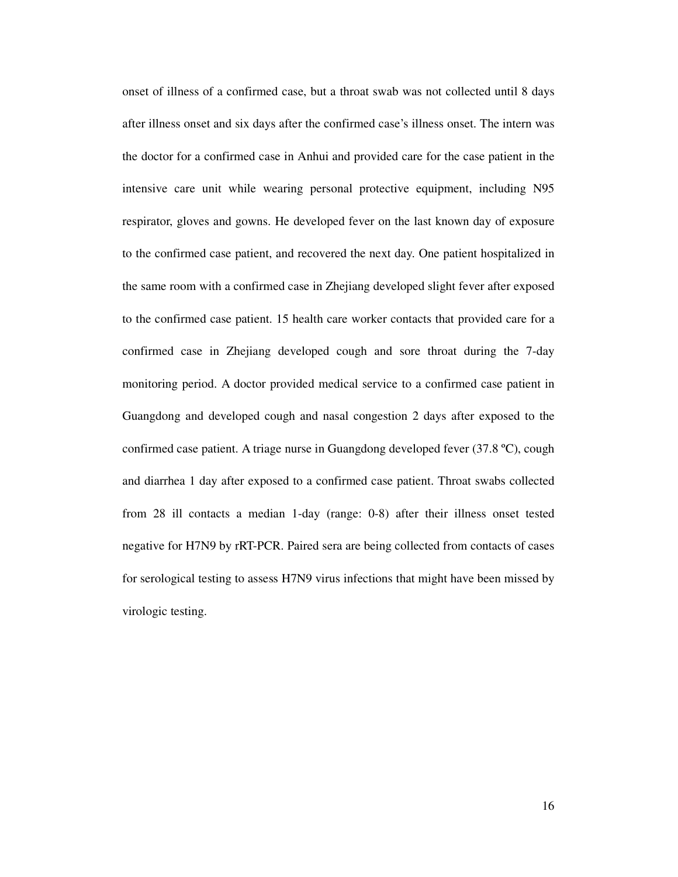onset of illness of a confirmed case, but a throat swab was not collected until 8 days after illness onset and six days after the confirmed case's illness onset. The intern was the doctor for a confirmed case in Anhui and provided care for the case patient in the intensive care unit while wearing personal protective equipment, including N95 respirator, gloves and gowns. He developed fever on the last known day of exposure to the confirmed case patient, and recovered the next day. One patient hospitalized in the same room with a confirmed case in Zhejiang developed slight fever after exposed to the confirmed case patient. 15 health care worker contacts that provided care for a confirmed case in Zhejiang developed cough and sore throat during the 7-day monitoring period. A doctor provided medical service to a confirmed case patient in Guangdong and developed cough and nasal congestion 2 days after exposed to the confirmed case patient. A triage nurse in Guangdong developed fever (37.8 ºC), cough and diarrhea 1 day after exposed to a confirmed case patient. Throat swabs collected from 28 ill contacts a median 1-day (range: 0-8) after their illness onset tested negative for H7N9 by rRT-PCR. Paired sera are being collected from contacts of cases for serological testing to assess H7N9 virus infections that might have been missed by virologic testing.